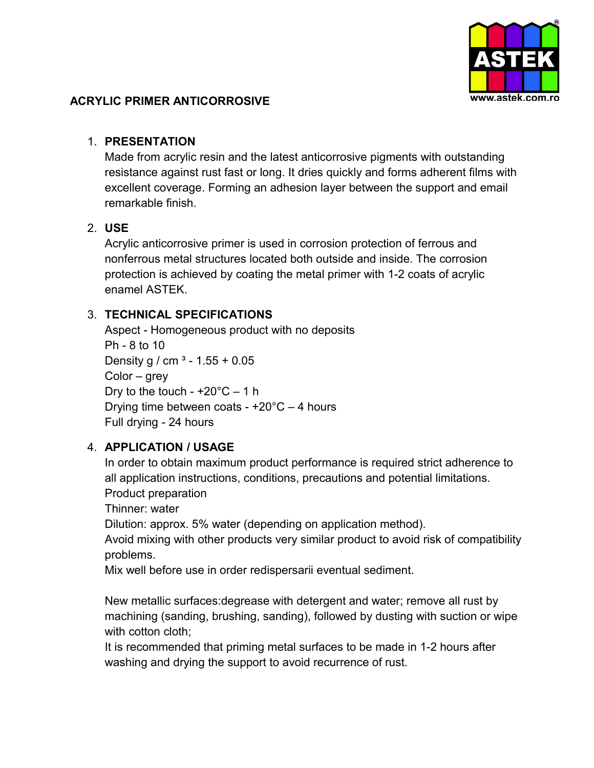

#### **ACRYLIC PRIMER ANTICORROSIVE**

#### 1. **PRESENTATION**

Made from acrylic resin and the latest anticorrosive pigments with outstanding resistance against rust fast or long. It dries quickly and forms adherent films with excellent coverage. Forming an adhesion layer between the support and email remarkable finish.

## 2. **USE**

Acrylic anticorrosive primer is used in corrosion protection of ferrous and nonferrous metal structures located both outside and inside. The corrosion protection is achieved by coating the metal primer with 1-2 coats of acrylic enamel ASTEK.

# 3. **TECHNICAL SPECIFICATIONS**

Aspect - Homogeneous product with no deposits Ph - 8 to 10 Density g / cm  $3 - 1.55 + 0.05$ Color – grey Dry to the touch -  $+20^{\circ}$ C – 1 h Drying time between coats -  $+20^{\circ}$ C – 4 hours Full drying - 24 hours

## 4. **APPLICATION / USAGE**

In order to obtain maximum product performance is required strict adherence to all application instructions, conditions, precautions and potential limitations. Product preparation

Thinner: water

Dilution: approx. 5% water (depending on application method).

Avoid mixing with other products very similar product to avoid risk of compatibility problems.

Mix well before use in order redispersarii eventual sediment.

New metallic surfaces:degrease with detergent and water; remove all rust by machining (sanding, brushing, sanding), followed by dusting with suction or wipe with cotton cloth:

It is recommended that priming metal surfaces to be made in 1-2 hours after washing and drying the support to avoid recurrence of rust.